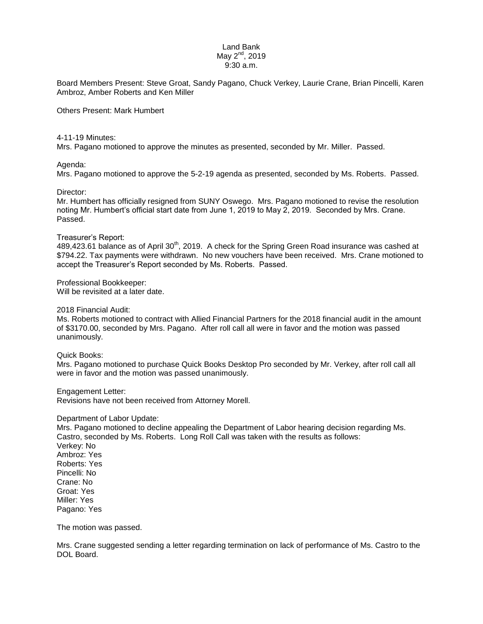### Land Bank May  $2^{nd}$ , 2019 9:30 a.m.

Board Members Present: Steve Groat, Sandy Pagano, Chuck Verkey, Laurie Crane, Brian Pincelli, Karen Ambroz, Amber Roberts and Ken Miller

Others Present: Mark Humbert

#### 4-11-19 Minutes:

Mrs. Pagano motioned to approve the minutes as presented, seconded by Mr. Miller. Passed.

### Agenda:

Mrs. Pagano motioned to approve the 5-2-19 agenda as presented, seconded by Ms. Roberts. Passed.

### Director:

Mr. Humbert has officially resigned from SUNY Oswego. Mrs. Pagano motioned to revise the resolution noting Mr. Humbert's official start date from June 1, 2019 to May 2, 2019. Seconded by Mrs. Crane. Passed.

### Treasurer's Report:

489,423.61 balance as of April 30<sup>th</sup>, 2019. A check for the Spring Green Road insurance was cashed at \$794.22. Tax payments were withdrawn. No new vouchers have been received. Mrs. Crane motioned to accept the Treasurer's Report seconded by Ms. Roberts. Passed.

Professional Bookkeeper:

Will be revisited at a later date.

2018 Financial Audit:

Ms. Roberts motioned to contract with Allied Financial Partners for the 2018 financial audit in the amount of \$3170.00, seconded by Mrs. Pagano. After roll call all were in favor and the motion was passed unanimously.

Quick Books:

Mrs. Pagano motioned to purchase Quick Books Desktop Pro seconded by Mr. Verkey, after roll call all were in favor and the motion was passed unanimously.

Engagement Letter: Revisions have not been received from Attorney Morell.

#### Department of Labor Update:

Mrs. Pagano motioned to decline appealing the Department of Labor hearing decision regarding Ms. Castro, seconded by Ms. Roberts. Long Roll Call was taken with the results as follows: Verkey: No Ambroz: Yes Roberts: Yes Pincelli: No Crane: No Groat: Yes Miller: Yes Pagano: Yes

The motion was passed.

Mrs. Crane suggested sending a letter regarding termination on lack of performance of Ms. Castro to the DOL Board.